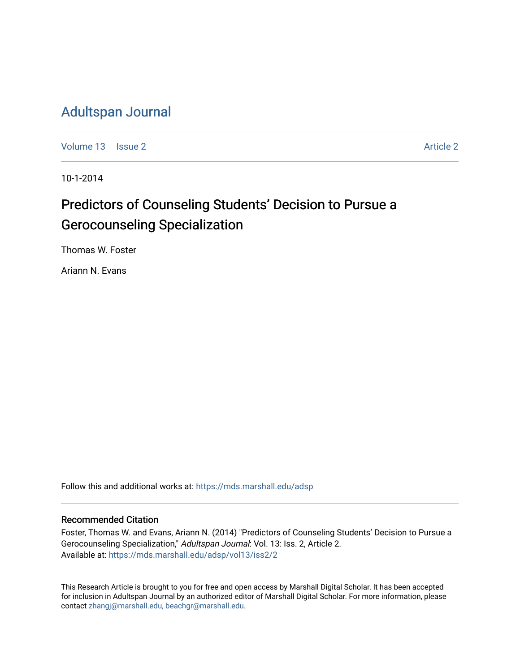# [Adultspan Journal](https://mds.marshall.edu/adsp)

[Volume 13](https://mds.marshall.edu/adsp/vol13) | [Issue 2](https://mds.marshall.edu/adsp/vol13/iss2) [Article 2](https://mds.marshall.edu/adsp/vol13/iss2/2) Article 2 Article 2 Article 2 Article 2 Article 2 Article 2 Article 2 Article 2

10-1-2014

# Predictors of Counseling Students' Decision to Pursue a Gerocounseling Specialization

Thomas W. Foster

Ariann N. Evans

Follow this and additional works at: [https://mds.marshall.edu/adsp](https://mds.marshall.edu/adsp?utm_source=mds.marshall.edu%2Fadsp%2Fvol13%2Fiss2%2F2&utm_medium=PDF&utm_campaign=PDFCoverPages) 

### Recommended Citation

Foster, Thomas W. and Evans, Ariann N. (2014) "Predictors of Counseling Students' Decision to Pursue a Gerocounseling Specialization," Adultspan Journal: Vol. 13: Iss. 2, Article 2. Available at: [https://mds.marshall.edu/adsp/vol13/iss2/2](https://mds.marshall.edu/adsp/vol13/iss2/2?utm_source=mds.marshall.edu%2Fadsp%2Fvol13%2Fiss2%2F2&utm_medium=PDF&utm_campaign=PDFCoverPages) 

This Research Article is brought to you for free and open access by Marshall Digital Scholar. It has been accepted for inclusion in Adultspan Journal by an authorized editor of Marshall Digital Scholar. For more information, please contact [zhangj@marshall.edu, beachgr@marshall.edu](mailto:zhangj@marshall.edu,%20beachgr@marshall.edu).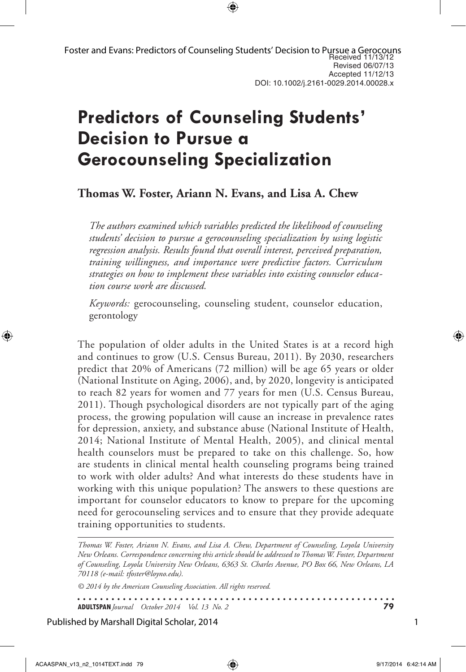# **Predictors of Counseling Students' Decision to Pursue a Gerocounseling Specialization**

# **Thomas W. Foster, Ariann N. Evans, and Lisa A. Chew**

*The authors examined which variables predicted the likelihood of counseling students' decision to pursue a gerocounseling specialization by using logistic regression analysis. Results found that overall interest, perceived preparation, training willingness, and importance were predictive factors. Curriculum strategies on how to implement these variables into existing counselor education course work are discussed.* 

*Keywords:* gerocounseling, counseling student, counselor education, gerontology

The population of older adults in the United States is at a record high and continues to grow (U.S. Census Bureau, 2011). By 2030, researchers predict that 20% of Americans (72 million) will be age 65 years or older (National Institute on Aging, 2006), and, by 2020, longevity is anticipated to reach 82 years for women and 77 years for men (U.S. Census Bureau, 2011). Though psychological disorders are not typically part of the aging process, the growing population will cause an increase in prevalence rates for depression, anxiety, and substance abuse (National Institute of Health, 2014; National Institute of Mental Health, 2005), and clinical mental health counselors must be prepared to take on this challenge. So, how are students in clinical mental health counseling programs being trained to work with older adults? And what interests do these students have in working with this unique population? The answers to these questions are important for counselor educators to know to prepare for the upcoming need for gerocounseling services and to ensure that they provide adequate training opportunities to students.

*Thomas W. Foster, Ariann N. Evans, and Lisa A. Chew, Department of Counseling, Loyola University New Orleans. Correspondence concerning this article should be addressed to Thomas W. Foster, Department of Counseling, Loyola University New Orleans, 6363 St. Charles Avenue, PO Box 66, New Orleans, LA 70118 (e-mail: tfoster@loyno.edu).*

*© 2014 by the American Counseling Association. All rights reserved.*

. . . . . . . . . . . . . . . . . . . **ADULTSPAN***Journal October 2014 Vol. 13 No. 2* **79**

Published by Marshall Digital Scholar, 2014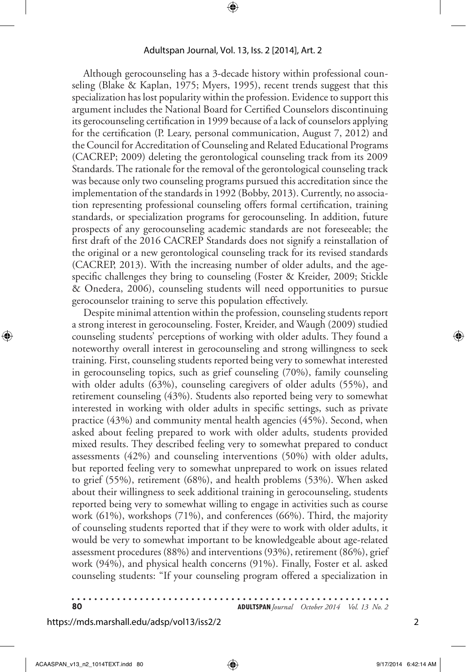#### Adultspan Journal, Vol. 13, Iss. 2 [2014], Art. 2

Although gerocounseling has a 3-decade history within professional counseling (Blake & Kaplan, 1975; Myers, 1995), recent trends suggest that this specialization has lost popularity within the profession. Evidence to support this argument includes the National Board for Certified Counselors discontinuing its gerocounseling certification in 1999 because of a lack of counselors applying for the certification (P. Leary, personal communication, August 7, 2012) and the Council for Accreditation of Counseling and Related Educational Programs (CACREP; 2009) deleting the gerontological counseling track from its 2009 Standards. The rationale for the removal of the gerontological counseling track was because only two counseling programs pursued this accreditation since the implementation of the standards in 1992 (Bobby, 2013). Currently, no association representing professional counseling offers formal certification, training standards, or specialization programs for gerocounseling. In addition, future prospects of any gerocounseling academic standards are not foreseeable; the first draft of the 2016 CACREP Standards does not signify a reinstallation of the original or a new gerontological counseling track for its revised standards (CACREP, 2013). With the increasing number of older adults, and the agespecific challenges they bring to counseling (Foster & Kreider, 2009; Stickle & Onedera, 2006), counseling students will need opportunities to pursue gerocounselor training to serve this population effectively.

Despite minimal attention within the profession, counseling students report a strong interest in gerocounseling. Foster, Kreider, and Waugh (2009) studied counseling students' perceptions of working with older adults. They found a noteworthy overall interest in gerocounseling and strong willingness to seek training. First, counseling students reported being very to somewhat interested in gerocounseling topics, such as grief counseling (70%), family counseling with older adults (63%), counseling caregivers of older adults (55%), and retirement counseling (43%). Students also reported being very to somewhat interested in working with older adults in specific settings, such as private practice (43%) and community mental health agencies (45%). Second, when asked about feeling prepared to work with older adults, students provided mixed results. They described feeling very to somewhat prepared to conduct assessments (42%) and counseling interventions (50%) with older adults, but reported feeling very to somewhat unprepared to work on issues related to grief (55%), retirement (68%), and health problems (53%). When asked about their willingness to seek additional training in gerocounseling, students reported being very to somewhat willing to engage in activities such as course work (61%), workshops (71%), and conferences (66%). Third, the majority of counseling students reported that if they were to work with older adults, it would be very to somewhat important to be knowledgeable about age-related assessment procedures (88%) and interventions (93%), retirement (86%), grief work (94%), and physical health concerns (91%). Finally, Foster et al. asked counseling students: "If your counseling program offered a specialization in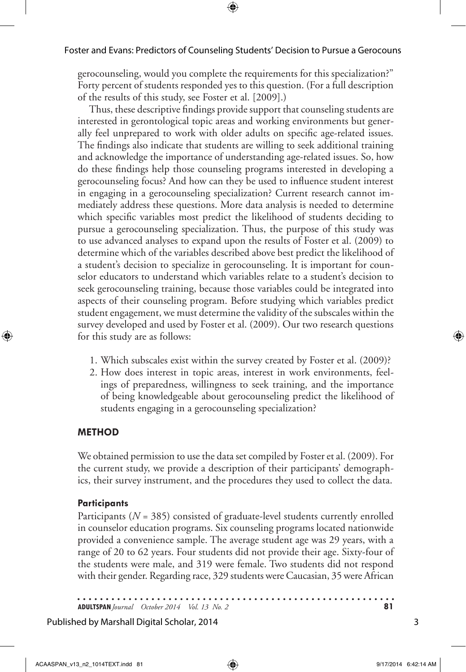gerocounseling, would you complete the requirements for this specialization?" Forty percent of students responded yes to this question. (For a full description of the results of this study, see Foster et al. [2009].)

Thus, these descriptive findings provide support that counseling students are interested in gerontological topic areas and working environments but generally feel unprepared to work with older adults on specific age-related issues. The findings also indicate that students are willing to seek additional training and acknowledge the importance of understanding age-related issues. So, how do these findings help those counseling programs interested in developing a gerocounseling focus? And how can they be used to influence student interest in engaging in a gerocounseling specialization? Current research cannot immediately address these questions. More data analysis is needed to determine which specific variables most predict the likelihood of students deciding to pursue a gerocounseling specialization. Thus, the purpose of this study was to use advanced analyses to expand upon the results of Foster et al. (2009) to determine which of the variables described above best predict the likelihood of a student's decision to specialize in gerocounseling. It is important for counselor educators to understand which variables relate to a student's decision to seek gerocounseling training, because those variables could be integrated into aspects of their counseling program. Before studying which variables predict student engagement, we must determine the validity of the subscales within the survey developed and used by Foster et al. (2009). Our two research questions for this study are as follows:

- 1. Which subscales exist within the survey created by Foster et al. (2009)?
- 2. How does interest in topic areas, interest in work environments, feelings of preparedness, willingness to seek training, and the importance of being knowledgeable about gerocounseling predict the likelihood of students engaging in a gerocounseling specialization?

# **Method**

We obtained permission to use the data set compiled by Foster et al. (2009). For the current study, we provide a description of their participants' demographics, their survey instrument, and the procedures they used to collect the data.

# **Participants**

Participants (*N* = 385) consisted of graduate-level students currently enrolled in counselor education programs. Six counseling programs located nationwide provided a convenience sample. The average student age was 29 years, with a range of 20 to 62 years. Four students did not provide their age. Sixty-four of the students were male, and 319 were female. Two students did not respond with their gender. Regarding race, 329 students were Caucasian, 35 were African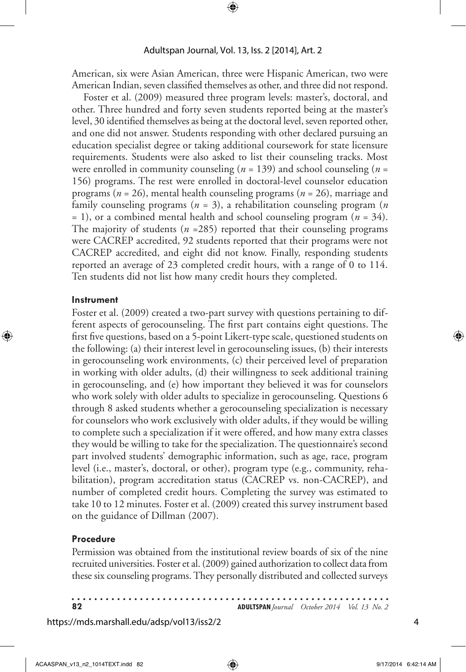American, six were Asian American, three were Hispanic American, two were American Indian, seven classified themselves as other, and three did not respond.

Foster et al. (2009) measured three program levels: master's, doctoral, and other. Three hundred and forty seven students reported being at the master's level, 30 identified themselves as being at the doctoral level, seven reported other, and one did not answer. Students responding with other declared pursuing an education specialist degree or taking additional coursework for state licensure requirements. Students were also asked to list their counseling tracks. Most were enrolled in community counseling (*n* = 139) and school counseling (*n* = 156) programs. The rest were enrolled in doctoral-level counselor education programs (*n* = 26), mental health counseling programs (*n* = 26), marriage and family counseling programs (*n* = 3), a rehabilitation counseling program (*n*  = 1), or a combined mental health and school counseling program (*n* = 34). The majority of students (*n* =285) reported that their counseling programs were CACREP accredited, 92 students reported that their programs were not CACREP accredited, and eight did not know. Finally, responding students reported an average of 23 completed credit hours, with a range of 0 to 114. Ten students did not list how many credit hours they completed.

#### **Instrument**

Foster et al. (2009) created a two-part survey with questions pertaining to different aspects of gerocounseling. The first part contains eight questions. The first five questions, based on a 5-point Likert-type scale, questioned students on the following: (a) their interest level in gerocounseling issues, (b) their interests in gerocounseling work environments, (c) their perceived level of preparation in working with older adults, (d) their willingness to seek additional training in gerocounseling, and (e) how important they believed it was for counselors who work solely with older adults to specialize in gerocounseling. Questions 6 through 8 asked students whether a gerocounseling specialization is necessary for counselors who work exclusively with older adults, if they would be willing to complete such a specialization if it were offered, and how many extra classes they would be willing to take for the specialization. The questionnaire's second part involved students' demographic information, such as age, race, program level (i.e., master's, doctoral, or other), program type (e.g., community, rehabilitation), program accreditation status (CACREP vs. non-CACREP), and number of completed credit hours. Completing the survey was estimated to take 10 to 12 minutes. Foster et al. (2009) created this survey instrument based on the guidance of Dillman (2007).

#### **Procedure**

Permission was obtained from the institutional review boards of six of the nine recruited universities. Foster et al. (2009) gained authorization to collect data from these six counseling programs. They personally distributed and collected surveys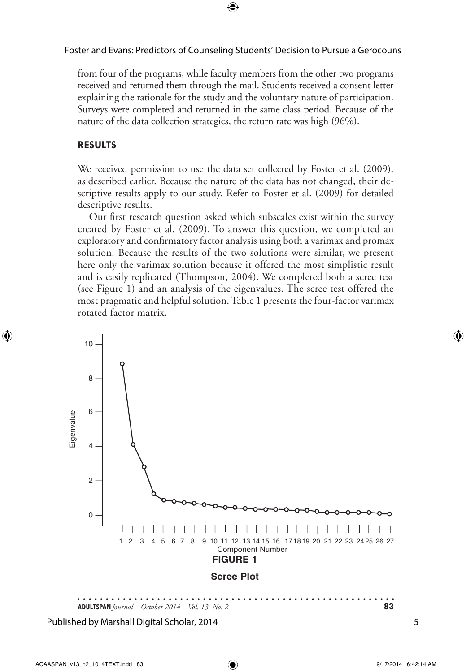#### Foster and Evans: Predictors of Counseling Students' Decision to Pursue a Gerocouns

from four of the programs, while faculty members from the other two programs received and returned them through the mail. Students received a consent letter explaining the rationale for the study and the voluntary nature of participation. Surveys were completed and returned in the same class period. Because of the nature of the data collection strategies, the return rate was high (96%).

#### **Results**

We received permission to use the data set collected by Foster et al. (2009), as described earlier. Because the nature of the data has not changed, their descriptive results apply to our study. Refer to Foster et al. (2009) for detailed descriptive results.

Our first research question asked which subscales exist within the survey created by Foster et al. (2009). To answer this question, we completed an exploratory and confirmatory factor analysis using both a varimax and promax solution. Because the results of the two solutions were similar, we present here only the varimax solution because it offered the most simplistic result and is easily replicated (Thompson, 2004). We completed both a scree test (see Figure 1) and an analysis of the eigenvalues. The scree test offered the most pragmatic and helpful solution. Table 1 presents the four-factor varimax rotated factor matrix.



Published by Marshall Digital Scholar, 2014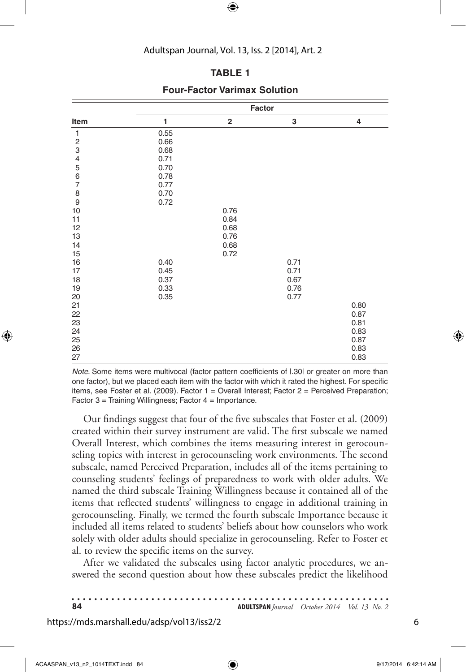#### **Table 1**

|                           | Factor |                |      |      |  |  |  |
|---------------------------|--------|----------------|------|------|--|--|--|
| Item                      | 1      | $\overline{2}$ | 3    | 4    |  |  |  |
| $\mathbf{1}$              | 0.55   |                |      |      |  |  |  |
| 2                         | 0.66   |                |      |      |  |  |  |
| $\ensuremath{\mathsf{3}}$ | 0.68   |                |      |      |  |  |  |
| $\overline{\mathcal{L}}$  | 0.71   |                |      |      |  |  |  |
| 5                         | 0.70   |                |      |      |  |  |  |
| 6                         | 0.78   |                |      |      |  |  |  |
| $\overline{\mathcal{I}}$  | 0.77   |                |      |      |  |  |  |
| $\,$ 8 $\,$               | 0.70   |                |      |      |  |  |  |
| $\boldsymbol{9}$          | 0.72   |                |      |      |  |  |  |
| 10                        |        | 0.76           |      |      |  |  |  |
| 11                        |        | 0.84           |      |      |  |  |  |
| 12                        |        | 0.68           |      |      |  |  |  |
| 13                        |        | 0.76           |      |      |  |  |  |
| 14                        |        | 0.68           |      |      |  |  |  |
| 15                        |        | 0.72           |      |      |  |  |  |
| 16                        | 0.40   |                | 0.71 |      |  |  |  |
| 17                        | 0.45   |                | 0.71 |      |  |  |  |
| 18                        | 0.37   |                | 0.67 |      |  |  |  |
| 19                        | 0.33   |                | 0.76 |      |  |  |  |
| 20                        | 0.35   |                | 0.77 |      |  |  |  |
| 21                        |        |                |      | 0.80 |  |  |  |
| 22                        |        |                |      | 0.87 |  |  |  |
| 23                        |        |                |      | 0.81 |  |  |  |
| 24                        |        |                |      | 0.83 |  |  |  |
| 25                        |        |                |      | 0.87 |  |  |  |
| 26                        |        |                |      | 0.83 |  |  |  |
| 27                        |        |                |      | 0.83 |  |  |  |

#### **Four-Factor Varimax Solution**

*Note.* Some items were multivocal (factor pattern coefficients of |.30| or greater on more than one factor), but we placed each item with the factor with which it rated the highest. For specific items, see Foster et al. (2009). Factor 1 = Overall Interest; Factor 2 = Perceived Preparation; Factor  $3$  = Training Willingness; Factor  $4$  = Importance.

Our findings suggest that four of the five subscales that Foster et al. (2009) created within their survey instrument are valid. The first subscale we named Overall Interest, which combines the items measuring interest in gerocounseling topics with interest in gerocounseling work environments. The second subscale, named Perceived Preparation, includes all of the items pertaining to counseling students' feelings of preparedness to work with older adults. We named the third subscale Training Willingness because it contained all of the items that reflected students' willingness to engage in additional training in gerocounseling. Finally, we termed the fourth subscale Importance because it included all items related to students' beliefs about how counselors who work solely with older adults should specialize in gerocounseling. Refer to Foster et al. to review the specific items on the survey.

After we validated the subscales using factor analytic procedures, we answered the second question about how these subscales predict the likelihood

. **. . . . .** . **84 ADULTSPAN***Journal October 2014 Vol. 13 No. 2*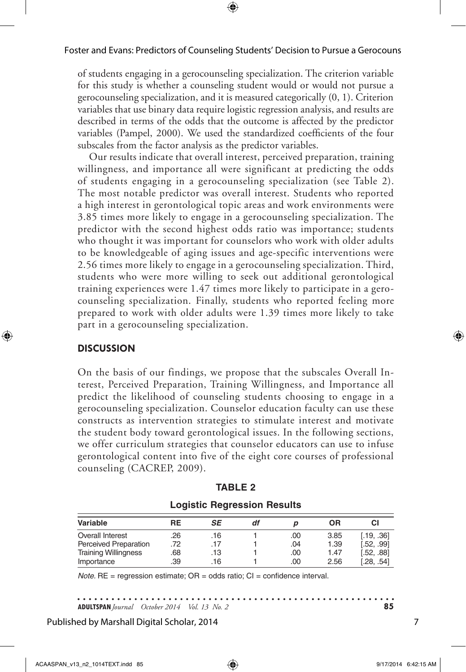of students engaging in a gerocounseling specialization. The criterion variable for this study is whether a counseling student would or would not pursue a gerocounseling specialization, and it is measured categorically (0, 1). Criterion variables that use binary data require logistic regression analysis, and results are described in terms of the odds that the outcome is affected by the predictor variables (Pampel, 2000). We used the standardized coefficients of the four subscales from the factor analysis as the predictor variables.

Our results indicate that overall interest, perceived preparation, training willingness, and importance all were significant at predicting the odds of students engaging in a gerocounseling specialization (see Table 2). The most notable predictor was overall interest. Students who reported a high interest in gerontological topic areas and work environments were 3.85 times more likely to engage in a gerocounseling specialization. The predictor with the second highest odds ratio was importance; students who thought it was important for counselors who work with older adults to be knowledgeable of aging issues and age-specific interventions were 2.56 times more likely to engage in a gerocounseling specialization. Third, students who were more willing to seek out additional gerontological training experiences were 1.47 times more likely to participate in a gerocounseling specialization. Finally, students who reported feeling more prepared to work with older adults were 1.39 times more likely to take part in a gerocounseling specialization.

# **Discussion**

On the basis of our findings, we propose that the subscales Overall Interest, Perceived Preparation, Training Willingness, and Importance all predict the likelihood of counseling students choosing to engage in a gerocounseling specialization. Counselor education faculty can use these constructs as intervention strategies to stimulate interest and motivate the student body toward gerontological issues. In the following sections, we offer curriculum strategies that counselor educators can use to infuse gerontological content into five of the eight core courses of professional counseling (CACREP, 2009).

| Variable                     | RE  | SE  | df |     | ΟR   | СI         |
|------------------------------|-----|-----|----|-----|------|------------|
| Overall Interest             | .26 | .16 |    | .00 | 3.85 | [.19, .36] |
| <b>Perceived Preparation</b> | 72  | .17 |    | .04 | 1.39 | [.52, .99] |
| <b>Training Willingness</b>  | .68 | .13 |    | .00 | 1.47 | [.52, .88] |
| Importance                   | .39 | .16 |    | .00 | 2.56 | [.28, .54] |

**Table 2**

# **Logistic Regression Results**

*Note.* RE = regression estimate; OR = odds ratio; CI = confidence interval.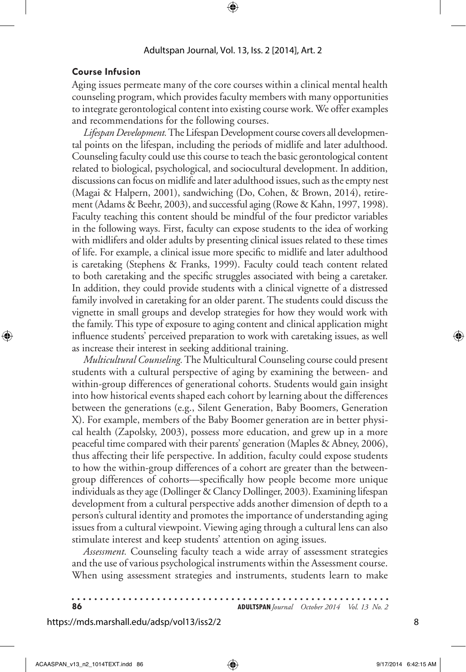#### **Course Infusion**

Aging issues permeate many of the core courses within a clinical mental health counseling program, which provides faculty members with many opportunities to integrate gerontological content into existing course work. We offer examples and recommendations for the following courses.

*Lifespan Development.* The Lifespan Development course covers all developmental points on the lifespan, including the periods of midlife and later adulthood. Counseling faculty could use this course to teach the basic gerontological content related to biological, psychological, and sociocultural development. In addition, discussions can focus on midlife and later adulthood issues, such as the empty nest (Magai & Halpern, 2001), sandwiching (Do, Cohen, & Brown, 2014), retirement (Adams & Beehr, 2003), and successful aging (Rowe & Kahn, 1997, 1998). Faculty teaching this content should be mindful of the four predictor variables in the following ways. First, faculty can expose students to the idea of working with midlifers and older adults by presenting clinical issues related to these times of life. For example, a clinical issue more specific to midlife and later adulthood is caretaking (Stephens & Franks, 1999). Faculty could teach content related to both caretaking and the specific struggles associated with being a caretaker. In addition, they could provide students with a clinical vignette of a distressed family involved in caretaking for an older parent. The students could discuss the vignette in small groups and develop strategies for how they would work with the family. This type of exposure to aging content and clinical application might influence students' perceived preparation to work with caretaking issues, as well as increase their interest in seeking additional training.

*Multicultural Counseling.* The Multicultural Counseling course could present students with a cultural perspective of aging by examining the between- and within-group differences of generational cohorts. Students would gain insight into how historical events shaped each cohort by learning about the differences between the generations (e.g., Silent Generation, Baby Boomers, Generation X). For example, members of the Baby Boomer generation are in better physical health (Zapolsky, 2003), possess more education, and grew up in a more peaceful time compared with their parents' generation (Maples & Abney, 2006), thus affecting their life perspective. In addition, faculty could expose students to how the within-group differences of a cohort are greater than the betweengroup differences of cohorts—specifically how people become more unique individuals as they age (Dollinger & Clancy Dollinger, 2003). Examining lifespan development from a cultural perspective adds another dimension of depth to a person's cultural identity and promotes the importance of understanding aging issues from a cultural viewpoint. Viewing aging through a cultural lens can also stimulate interest and keep students' attention on aging issues.

*Assessment.* Counseling faculty teach a wide array of assessment strategies and the use of various psychological instruments within the Assessment course. When using assessment strategies and instruments, students learn to make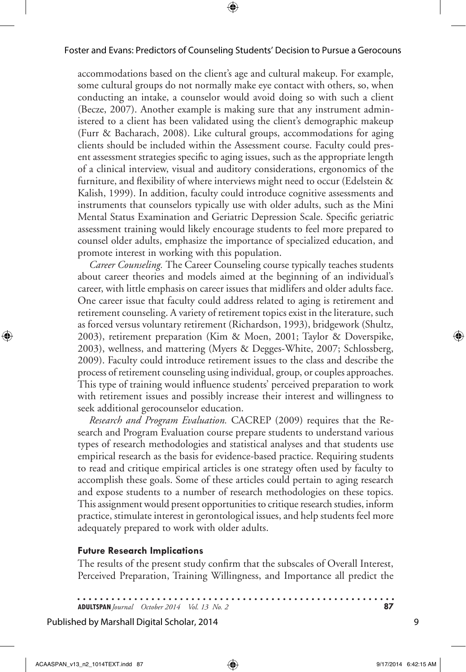accommodations based on the client's age and cultural makeup. For example, some cultural groups do not normally make eye contact with others, so, when conducting an intake, a counselor would avoid doing so with such a client (Becze, 2007). Another example is making sure that any instrument administered to a client has been validated using the client's demographic makeup (Furr & Bacharach, 2008). Like cultural groups, accommodations for aging clients should be included within the Assessment course. Faculty could present assessment strategies specific to aging issues, such as the appropriate length of a clinical interview, visual and auditory considerations, ergonomics of the furniture, and flexibility of where interviews might need to occur (Edelstein & Kalish, 1999). In addition, faculty could introduce cognitive assessments and instruments that counselors typically use with older adults, such as the Mini Mental Status Examination and Geriatric Depression Scale. Specific geriatric assessment training would likely encourage students to feel more prepared to counsel older adults, emphasize the importance of specialized education, and promote interest in working with this population.

*Career Counseling.* The Career Counseling course typically teaches students about career theories and models aimed at the beginning of an individual's career, with little emphasis on career issues that midlifers and older adults face. One career issue that faculty could address related to aging is retirement and retirement counseling. A variety of retirement topics exist in the literature, such as forced versus voluntary retirement (Richardson, 1993), bridgework (Shultz, 2003), retirement preparation (Kim & Moen, 2001; Taylor & Doverspike, 2003), wellness, and mattering (Myers & Degges-White, 2007; Schlossberg, 2009). Faculty could introduce retirement issues to the class and describe the process of retirement counseling using individual, group, or couples approaches. This type of training would influence students' perceived preparation to work with retirement issues and possibly increase their interest and willingness to seek additional gerocounselor education.

*Research and Program Evaluation.* CACREP (2009) requires that the Research and Program Evaluation course prepare students to understand various types of research methodologies and statistical analyses and that students use empirical research as the basis for evidence-based practice. Requiring students to read and critique empirical articles is one strategy often used by faculty to accomplish these goals. Some of these articles could pertain to aging research and expose students to a number of research methodologies on these topics. This assignment would present opportunities to critique research studies, inform practice, stimulate interest in gerontological issues, and help students feel more adequately prepared to work with older adults.

### **Future Research Implications**

The results of the present study confirm that the subscales of Overall Interest, Perceived Preparation, Training Willingness, and Importance all predict the

**ADULTSPAN***Journal October 2014 Vol. 13 No. 2* **87**

Published by Marshall Digital Scholar, 2014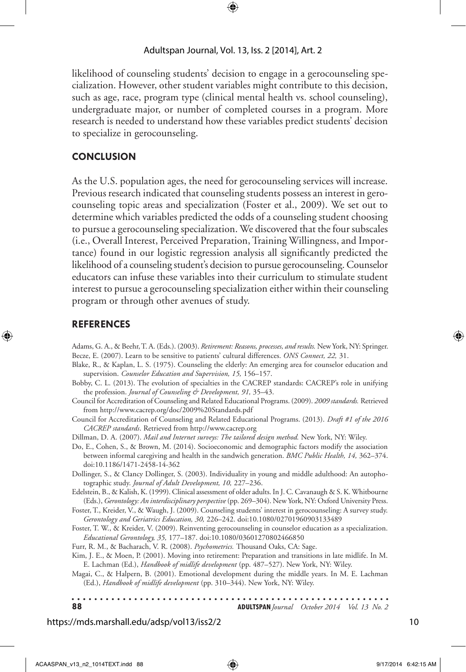likelihood of counseling students' decision to engage in a gerocounseling specialization. However, other student variables might contribute to this decision, such as age, race, program type (clinical mental health vs. school counseling), undergraduate major, or number of completed courses in a program. More research is needed to understand how these variables predict students' decision to specialize in gerocounseling.

# **Conclusion**

As the U.S. population ages, the need for gerocounseling services will increase. Previous research indicated that counseling students possess an interest in gerocounseling topic areas and specialization (Foster et al., 2009). We set out to determine which variables predicted the odds of a counseling student choosing to pursue a gerocounseling specialization. We discovered that the four subscales (i.e., Overall Interest, Perceived Preparation, Training Willingness, and Importance) found in our logistic regression analysis all significantly predicted the likelihood of a counseling student's decision to pursue gerocounseling. Counselor educators can infuse these variables into their curriculum to stimulate student interest to pursue a gerocounseling specialization either within their counseling program or through other avenues of study.

# **References**

Adams, G. A., & Beehr, T. A. (Eds.). (2003). *Retirement: Reasons, processes, and results.* New York, NY: Springer. Becze, E. (2007). Learn to be sensitive to patients' cultural differences. *ONS Connect, 22,* 31.

- Blake, R., & Kaplan, L. S. (1975). Counseling the elderly: An emerging area for counselor education and supervision. *Counselor Education and Supervision, 15,* 156–157.
- Bobby, C. L. (2013). The evolution of specialties in the CACREP standards: CACREP's role in unifying the profession. *Journal of Counseling & Development, 91,* 35–43.
- Council for Accreditation of Counseling and Related Educational Programs. (2009). *2009 standards.* Retrieved from http://www.cacrep.org/doc/2009%20Standards.pdf

Council for Accreditation of Counseling and Related Educational Programs. (2013). *Draft #1 of the 2016 CACREP standards*. Retrieved from http://www.cacrep.org

Dillman, D. A. (2007). *Mail and Internet surveys: The tailored design method.* New York, NY: Wiley.

Do, E., Cohen, S., & Brown, M. (2014). Socioeconomic and demographic factors modify the association between informal caregiving and health in the sandwich generation. *BMC Public Health, 14,* 362–374. doi:10.1186/1471-2458-14-362

Dollinger, S., & Clancy Dollinger, S. (2003). Individuality in young and middle adulthood: An autophotographic study. *Journal of Adult Development, 10,* 227–236.

Edelstein, B., & Kalish, K. (1999). Clinical assessment of older adults. In J. C. Cavanaugh & S. K. Whitbourne (Eds.), *Gerontology: An interdisciplinary perspective* (pp. 269–304). New York, NY: Oxford University Press.

Foster, T., Kreider, V., & Waugh, J. (2009). Counseling students' interest in gerocounseling: A survey study. *Gerontology and Geriatrics Education, 30,* 226–242. doi:10.1080/02701960903133489

Foster, T. W., & Kreider, V. (2009). Reinventing gerocounseling in counselor education as a specialization. *Educational Gerontology, 35,* 177–187. doi:10.1080/03601270802466850

Furr, R. M., & Bacharach, V. R. (2008). *Psychometrics.* Thousand Oaks, CA: Sage.

- Kim, J. E., & Moen, P. (2001). Moving into retirement: Preparation and transitions in late midlife. In M. E. Lachman (Ed.), *Handbook of midlife development* (pp. 487–527). New York, NY: Wiley.
- Magai, C., & Halpern, B. (2001). Emotional development during the middle years. In M. E. Lachman (Ed.), *Handbook of midlife development* (pp. 310–344). New York, NY: Wiley.